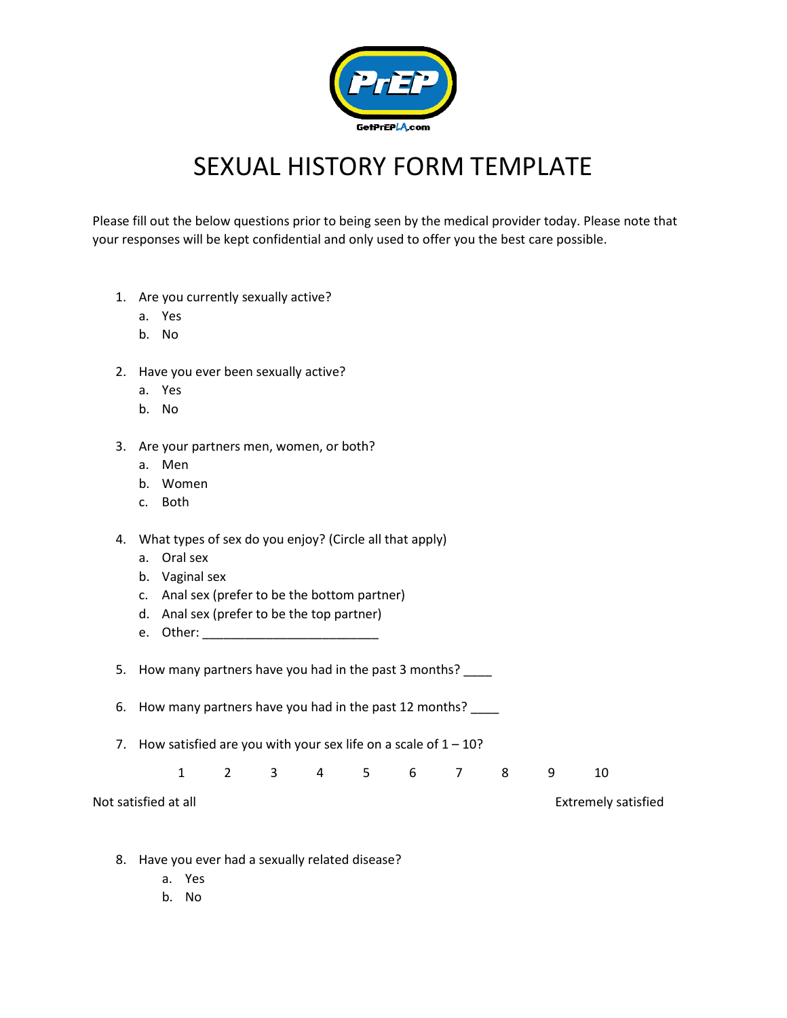

## SEXUAL HISTORY FORM TEMPLATE

Please fill out the below questions prior to being seen by the medical provider today. Please note that your responses will be kept confidential and only used to offer you the best care possible.

- 1. Are you currently sexually active?
	- a. Yes
	- b. No
- 2. Have you ever been sexually active?
	- a. Yes
	- b. No

## 3. Are your partners men, women, or both?

- a. Men
- b. Women
- c. Both
- 4. What types of sex do you enjoy? (Circle all that apply)
	- a. Oral sex
	- b. Vaginal sex
	- c. Anal sex (prefer to be the bottom partner)
	- d. Anal sex (prefer to be the top partner)
	- e. Other: \_\_\_\_\_\_\_\_\_\_\_\_\_\_\_\_\_\_\_\_\_\_\_\_\_

5. How many partners have you had in the past 3 months? \_\_\_\_

- 6. How many partners have you had in the past 12 months?
- 7. How satisfied are you with your sex life on a scale of  $1 10$ ?

1 2 3 4 5 6 7 8 9 10

Not satisfied at all **Not satisfied** at all **Not satisfied** 

- 8. Have you ever had a sexually related disease?
	- a. Yes
	- b. No